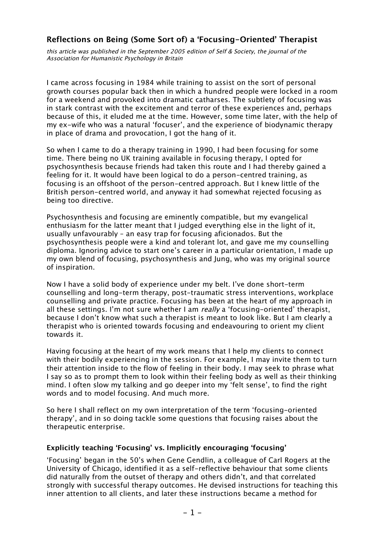# **Reflections on Being (Some Sort of) a 'Focusing-Oriented' Therapist**

this article was published in the September 2005 edition of Self & Society, the journal of the Association for Humanistic Psychology in Britain

I came across focusing in 1984 while training to assist on the sort of personal growth courses popular back then in which a hundred people were locked in a room for a weekend and provoked into dramatic catharses. The subtlety of focusing was in stark contrast with the excitement and terror of these experiences and, perhaps because of this, it eluded me at the time. However, some time later, with the help of my ex-wife who was a natural 'focuser', and the experience of biodynamic therapy in place of drama and provocation, I got the hang of it.

So when I came to do a therapy training in 1990, I had been focusing for some time. There being no UK training available in focusing therapy, I opted for psychosynthesis because friends had taken this route and I had thereby gained a feeling for it. It would have been logical to do a person-centred training, as focusing is an offshoot of the person-centred approach. But I knew little of the British person-centred world, and anyway it had somewhat rejected focusing as being too directive.

Psychosynthesis and focusing are eminently compatible, but my evangelical enthusiasm for the latter meant that I judged everything else in the light of it, usually unfavourably – an easy trap for focusing aficionados. But the psychosynthesis people were a kind and tolerant lot, and gave me my counselling diploma. Ignoring advice to start one's career in a particular orientation, I made up my own blend of focusing, psychosynthesis and Jung, who was my original source of inspiration.

Now I have a solid body of experience under my belt. I've done short-term counselling and long-term therapy, post-traumatic stress interventions, workplace counselling and private practice. Focusing has been at the heart of my approach in all these settings. I'm not sure whether I am *really* a 'focusing-oriented' therapist, because I don't know what such a therapist is meant to look like. But I am clearly a therapist who is oriented towards focusing and endeavouring to orient my client towards it.

Having focusing at the heart of my work means that I help my clients to connect with their bodily experiencing in the session. For example, I may invite them to turn their attention inside to the flow of feeling in their body. I may seek to phrase what I say so as to prompt them to look within their feeling body as well as their thinking mind. I often slow my talking and go deeper into my 'felt sense', to find the right words and to model focusing. And much more.

So here I shall reflect on my own interpretation of the term 'focusing-oriented therapy', and in so doing tackle some questions that focusing raises about the therapeutic enterprise.

## **Explicitly teaching 'Focusing' vs. Implicitly encouraging 'focusing'**

'Focusing' began in the 50's when Gene Gendlin, a colleague of Carl Rogers at the University of Chicago, identified it as a self-reflective behaviour that some clients did naturally from the outset of therapy and others didn't, and that correlated strongly with successful therapy outcomes. He devised instructions for teaching this inner attention to all clients, and later these instructions became a method for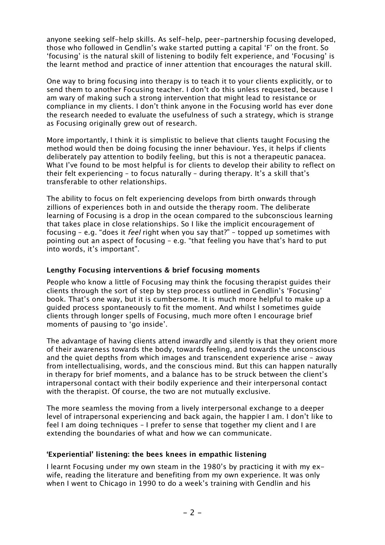anyone seeking self-help skills. As self-help, peer-partnership focusing developed, those who followed in Gendlin's wake started putting a capital 'F' on the front. So 'focusing' is the natural skill of listening to bodily felt experience, and 'Focusing' is the learnt method and practice of inner attention that encourages the natural skill.

One way to bring focusing into therapy is to teach it to your clients explicitly, or to send them to another Focusing teacher. I don't do this unless requested, because I am wary of making such a strong intervention that might lead to resistance or compliance in my clients. I don't think anyone in the Focusing world has ever done the research needed to evaluate the usefulness of such a strategy, which is strange as Focusing originally grew out of research.

More importantly, I think it is simplistic to believe that clients taught Focusing the method would then be doing focusing the inner behaviour. Yes, it helps if clients deliberately pay attention to bodily feeling, but this is not a therapeutic panacea. What I've found to be most helpful is for clients to develop their ability to reflect on their felt experiencing – to focus naturally – during therapy. It's a skill that's transferable to other relationships.

The ability to focus on felt experiencing develops from birth onwards through zillions of experiences both in and outside the therapy room. The deliberate learning of Focusing is a drop in the ocean compared to the subconscious learning that takes place in close relationships. So I like the implicit encouragement of focusing – e.g. "does it feel right when you say that?" – topped up sometimes with pointing out an aspect of focusing – e.g. "that feeling you have that's hard to put into words, it's important".

### **Lengthy Focusing interventions & brief focusing moments**

People who know a little of Focusing may think the focusing therapist guides their clients through the sort of step by step process outlined in Gendlin's 'Focusing' book. That's one way, but it is cumbersome. It is much more helpful to make up a guided process spontaneously to fit the moment. And whilst I sometimes guide clients through longer spells of Focusing, much more often I encourage brief moments of pausing to 'go inside'.

The advantage of having clients attend inwardly and silently is that they orient more of their awareness towards the body, towards feeling, and towards the unconscious and the quiet depths from which images and transcendent experience arise – away from intellectualising, words, and the conscious mind. But this can happen naturally in therapy for brief moments, and a balance has to be struck between the client's intrapersonal contact with their bodily experience and their interpersonal contact with the therapist. Of course, the two are not mutually exclusive.

The more seamless the moving from a lively interpersonal exchange to a deeper level of intrapersonal experiencing and back again, the happier I am. I don't like to feel I am doing techniques – I prefer to sense that together my client and I are extending the boundaries of what and how we can communicate.

#### **'Experiential' listening: the bees knees in empathic listening**

I learnt Focusing under my own steam in the 1980's by practicing it with my exwife, reading the literature and benefiting from my own experience. It was only when I went to Chicago in 1990 to do a week's training with Gendlin and his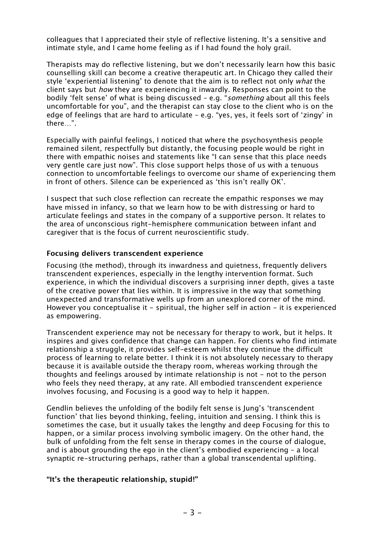colleagues that I appreciated their style of reflective listening. It's a sensitive and intimate style, and I came home feeling as if I had found the holy grail.

Therapists may do reflective listening, but we don't necessarily learn how this basic counselling skill can become a creative therapeutic art. In Chicago they called their style 'experiential listening' to denote that the aim is to reflect not only what the client says but how they are experiencing it inwardly. Responses can point to the bodily 'felt sense' of what is being discussed – e.g. "something about all this feels uncomfortable for you", and the therapist can stay close to the client who is on the edge of feelings that are hard to articulate – e.g. "yes, yes, it feels sort of 'zingy' in there…".

Especially with painful feelings, I noticed that where the psychosynthesis people remained silent, respectfully but distantly, the focusing people would be right in there with empathic noises and statements like "I can sense that this place needs very gentle care just now". This close support helps those of us with a tenuous connection to uncomfortable feelings to overcome our shame of experiencing them in front of others. Silence can be experienced as 'this isn't really OK'.

I suspect that such close reflection can recreate the empathic responses we may have missed in infancy, so that we learn how to be with distressing or hard to articulate feelings and states in the company of a supportive person. It relates to the area of unconscious right-hemisphere communication between infant and caregiver that is the focus of current neuroscientific study.

### **Focusing delivers transcendent experience**

Focusing (the method), through its inwardness and quietness, frequently delivers transcendent experiences, especially in the lengthy intervention format. Such experience, in which the individual discovers a surprising inner depth, gives a taste of the creative power that lies within. It is impressive in the way that something unexpected and transformative wells up from an unexplored corner of the mind. However you conceptualise it - spiritual, the higher self in action - it is experienced as empowering.

Transcendent experience may not be necessary for therapy to work, but it helps. It inspires and gives confidence that change can happen. For clients who find intimate relationship a struggle, it provides self-esteem whilst they continue the difficult process of learning to relate better. I think it is not absolutely necessary to therapy because it is available outside the therapy room, whereas working through the thoughts and feelings aroused by intimate relationship is not - not to the person who feels they need therapy, at any rate. All embodied transcendent experience involves focusing, and Focusing is a good way to help it happen.

Gendlin believes the unfolding of the bodily felt sense is Jung's 'transcendent function' that lies beyond thinking, feeling, intuition and sensing. I think this is sometimes the case, but it usually takes the lengthy and deep Focusing for this to happen, or a similar process involving symbolic imagery. On the other hand, the bulk of unfolding from the felt sense in therapy comes in the course of dialogue, and is about grounding the ego in the client's embodied experiencing – a local synaptic re-structuring perhaps, rather than a global transcendental uplifting.

## **"It's the therapeutic relationship, stupid!"**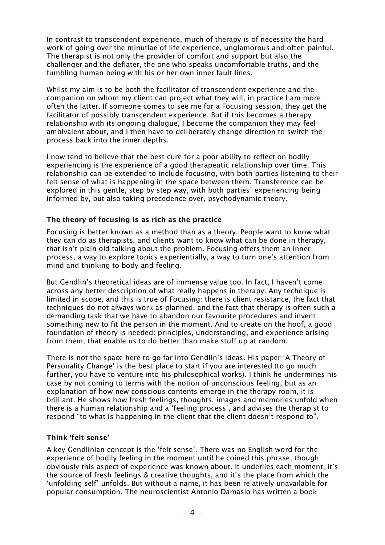In contrast to transcendent experience, much of therapy is of necessity the hard work of going over the minutiae of life experience, unglamorous and often painful. The therapist is not only the provider of comfort and support but also the challenger and the deflater, the one who speaks uncomfortable truths, and the fumbling human being with his or her own inner fault lines.

Whilst my aim is to be both the facilitator of transcendent experience and the companion on whom my client can project what they will, in practice I am more often the latter. If someone comes to see me for a Focusing session, they get the facilitator of possibly transcendent experience. But if this becomes a therapy relationship with its ongoing dialogue, I become the companion they may feel ambivalent about, and I then have to deliberately change direction to switch the process back into the inner depths.

I now tend to believe that the best cure for a poor ability to reflect on bodily experiencing is the experience of a good therapeutic relationship over time. This relationship can be extended to include focusing, with both parties listening to their felt sense of what is happening in the space between them. Transference can be explored in this gentle, step by step way, with both parties' experiencing being informed by, but also taking precedence over, psychodynamic theory.

## **The theory of focusing is as rich as the practice**

Focusing is better known as a method than as a theory. People want to know what they can do as therapists, and clients want to know what can be done in therapy, that isn't plain old talking about the problem. Focusing offers them an inner process, a way to explore topics experientially, a way to turn one's attention from mind and thinking to body and feeling.

But Gendlin's theoretical ideas are of immense value too. In fact, I haven't come across any better description of what really happens in therapy. Any technique is limited in scope, and this is true of Focusing: there is client resistance, the fact that techniques do not always work as planned, and the fact that therapy is often such a demanding task that we have to abandon our favourite procedures and invent something new to fit the person in the moment. And to create on the hoof, a good foundation of theory is needed: principles, understanding, and experience arising from them, that enable us to do better than make stuff up at random.

There is not the space here to go far into Gendlin's ideas. His paper 'A Theory of Personality Change' is the best place to start if you are interested (to go much further, you have to venture into his philosophical works). I think he undermines his case by not coming to terms with the notion of unconscious feeling, but as an explanation of how new conscious contents emerge in the therapy room, it is brilliant. He shows how fresh feelings, thoughts, images and memories unfold when there is a human relationship and a 'feeling process', and advises the therapist to respond "to what is happening in the client that the client doesn't respond to".

## **Think 'felt sense'**

A key Gendlinian concept is the 'felt sense'. There was no English word for the experience of bodily feeling in the moment until he coined this phrase, though obviously this aspect of experience was known about. It underlies each moment, it's the source of fresh feelings & creative thoughts, and it's the place from which the 'unfolding self' unfolds. But without a name, it has been relatively unavailable for popular consumption. The neuroscientist Antonio Damasio has written a book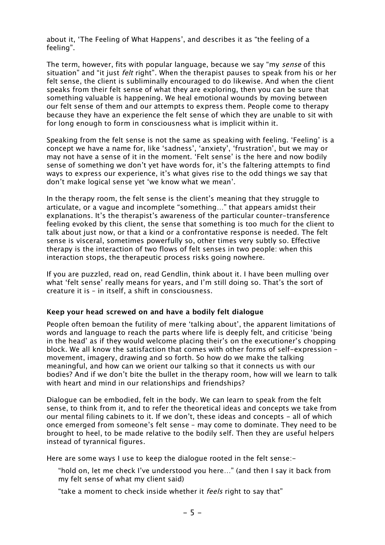about it, 'The Feeling of What Happens', and describes it as "the feeling of a feeling".

The term, however, fits with popular language, because we say "my sense of this situation" and "it just *felt* right". When the therapist pauses to speak from his or her felt sense, the client is subliminally encouraged to do likewise. And when the client speaks from their felt sense of what they are exploring, then you can be sure that something valuable is happening. We heal emotional wounds by moving between our felt sense of them and our attempts to express them. People come to therapy because they have an experience the felt sense of which they are unable to sit with for long enough to form in consciousness what is implicit within it.

Speaking from the felt sense is not the same as speaking with feeling. 'Feeling' is a concept we have a name for, like 'sadness', 'anxiety', 'frustration', but we may or may not have a sense of it in the moment. 'Felt sense' is the here and now bodily sense of something we don't yet have words for, it's the faltering attempts to find ways to express our experience, it's what gives rise to the odd things we say that don't make logical sense yet 'we know what we mean'.

In the therapy room, the felt sense is the client's meaning that they struggle to articulate, or a vague and incomplete "something…" that appears amidst their explanations. It's the therapist's awareness of the particular counter-transference feeling evoked by this client, the sense that something is too much for the client to talk about just now, or that a kind or a confrontative response is needed. The felt sense is visceral, sometimes powerfully so, other times very subtly so. Effective therapy is the interaction of two flows of felt senses in two people: when this interaction stops, the therapeutic process risks going nowhere.

If you are puzzled, read on, read Gendlin, think about it. I have been mulling over what 'felt sense' really means for years, and I'm still doing so. That's the sort of creature it is – in itself, a shift in consciousness.

#### **Keep your head screwed on and have a bodily felt dialogue**

People often bemoan the futility of mere 'talking about', the apparent limitations of words and language to reach the parts where life is deeply felt, and criticise 'being in the head' as if they would welcome placing their's on the executioner's chopping block. We all know the satisfaction that comes with other forms of self-expression – movement, imagery, drawing and so forth. So how do we make the talking meaningful, and how can we orient our talking so that it connects us with our bodies? And if we don't bite the bullet in the therapy room, how will we learn to talk with heart and mind in our relationships and friendships?

Dialogue can be embodied, felt in the body. We can learn to speak from the felt sense, to think from it, and to refer the theoretical ideas and concepts we take from our mental filing cabinets to it. If we don't, these ideas and concepts - all of which once emerged from someone's felt sense – may come to dominate. They need to be brought to heel, to be made relative to the bodily self. Then they are useful helpers instead of tyrannical figures.

Here are some ways I use to keep the dialogue rooted in the felt sense:-

- "hold on, let me check I've understood you here…" (and then I say it back from my felt sense of what my client said)
- "take a moment to check inside whether it feels right to say that"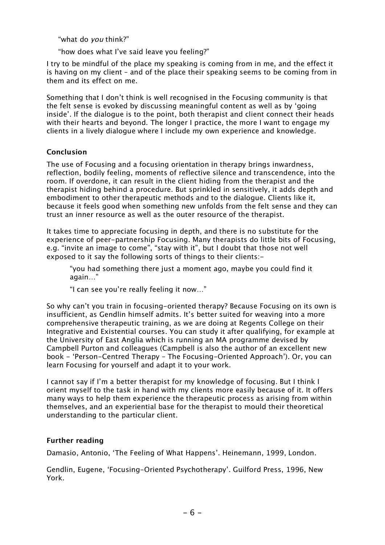"what do *you* think?"

"how does what I've said leave you feeling?"

I try to be mindful of the place my speaking is coming from in me, and the effect it is having on my client – and of the place their speaking seems to be coming from in them and its effect on me.

Something that I don't think is well recognised in the Focusing community is that the felt sense is evoked by discussing meaningful content as well as by 'going inside'. If the dialogue is to the point, both therapist and client connect their heads with their hearts and beyond. The longer I practice, the more I want to engage my clients in a lively dialogue where I include my own experience and knowledge.

## **Conclusion**

The use of Focusing and a focusing orientation in therapy brings inwardness, reflection, bodily feeling, moments of reflective silence and transcendence, into the room. If overdone, it can result in the client hiding from the therapist and the therapist hiding behind a procedure. But sprinkled in sensitively, it adds depth and embodiment to other therapeutic methods and to the dialogue. Clients like it, because it feels good when something new unfolds from the felt sense and they can trust an inner resource as well as the outer resource of the therapist.

It takes time to appreciate focusing in depth, and there is no substitute for the experience of peer-partnership Focusing. Many therapists do little bits of Focusing, e.g. "invite an image to come", "stay with it", but I doubt that those not well exposed to it say the following sorts of things to their clients:-

"you had something there just a moment ago, maybe you could find it again…"

"I can see you're really feeling it now…"

So why can't you train in focusing-oriented therapy? Because Focusing on its own is insufficient, as Gendlin himself admits. It's better suited for weaving into a more comprehensive therapeutic training, as we are doing at Regents College on their Integrative and Existential courses. You can study it after qualifying, for example at the University of East Anglia which is running an MA programme devised by Campbell Purton and colleagues (Campbell is also the author of an excellent new book - 'Person-Centred Therapy – The Focusing-Oriented Approach'). Or, you can learn Focusing for yourself and adapt it to your work.

I cannot say if I'm a better therapist for my knowledge of focusing. But I think I orient myself to the task in hand with my clients more easily because of it. It offers many ways to help them experience the therapeutic process as arising from within themselves, and an experiential base for the therapist to mould their theoretical understanding to the particular client.

## **Further reading**

Damasio, Antonio, 'The Feeling of What Happens'. Heinemann, 1999, London.

Gendlin, Eugene, 'Focusing-Oriented Psychotherapy'. Guilford Press, 1996, New York.